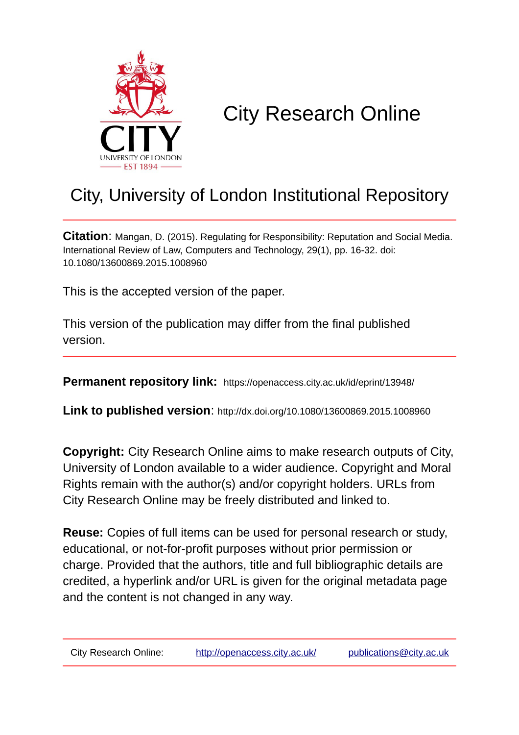

# City Research Online

## City, University of London Institutional Repository

**Citation**: Mangan, D. (2015). Regulating for Responsibility: Reputation and Social Media. International Review of Law, Computers and Technology, 29(1), pp. 16-32. doi: 10.1080/13600869.2015.1008960

This is the accepted version of the paper.

This version of the publication may differ from the final published version.

**Permanent repository link:** https://openaccess.city.ac.uk/id/eprint/13948/

**Link to published version**: http://dx.doi.org/10.1080/13600869.2015.1008960

**Copyright:** City Research Online aims to make research outputs of City, University of London available to a wider audience. Copyright and Moral Rights remain with the author(s) and/or copyright holders. URLs from City Research Online may be freely distributed and linked to.

**Reuse:** Copies of full items can be used for personal research or study, educational, or not-for-profit purposes without prior permission or charge. Provided that the authors, title and full bibliographic details are credited, a hyperlink and/or URL is given for the original metadata page and the content is not changed in any way.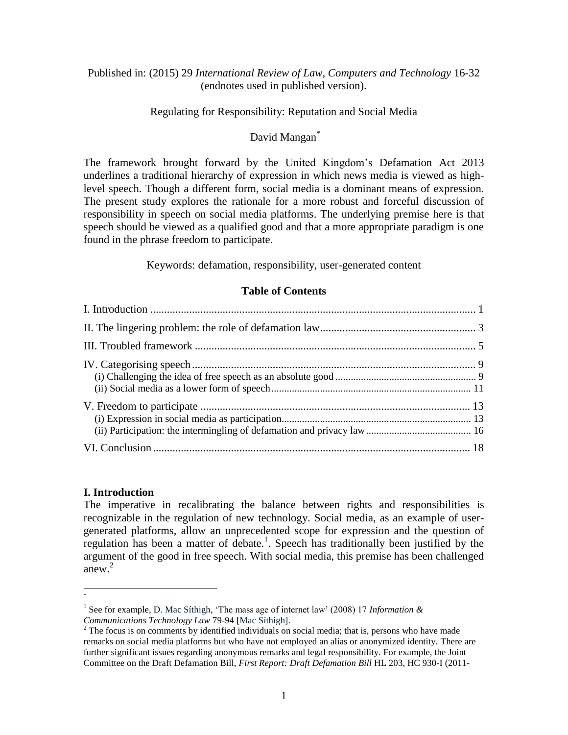## Published in: (2015) 29 *International Review of Law, Computers and Technology* 16-32 (endnotes used in published version).

## Regulating for Responsibility: Reputation and Social Media

## David Mangan<sup>\*</sup>

The framework brought forward by the United Kingdom's Defamation Act 2013 underlines a traditional hierarchy of expression in which news media is viewed as highlevel speech. Though a different form, social media is a dominant means of expression. The present study explores the rationale for a more robust and forceful discussion of responsibility in speech on social media platforms. The underlying premise here is that speech should be viewed as a qualified good and that a more appropriate paradigm is one found in the phrase freedom to participate.

Keywords: defamation, responsibility, user-generated content

## **Table of Contents**

## **I. Introduction**

The imperative in recalibrating the balance between rights and responsibilities is recognizable in the regulation of new technology. Social media, as an example of usergenerated platforms, allow an unprecedented scope for expression and the question of regulation has been a matter of debate.<sup>1</sup>. Speech has traditionally been justified by the argument of the good in free speech. With social media, this premise has been challenged anew. $^{2}$ 

 $\overline{a}$ \*

<sup>&</sup>lt;sup>1</sup> See for example, D. Mac Síthigh, 'The mass age of internet law' (2008) 17 *Information & Communications Technology Law* 79-94 [Mac Síthigh].

<sup>&</sup>lt;sup>2</sup> The focus is on comments by identified individuals on social media; that is, persons who have made remarks on social media platforms but who have not employed an alias or anonymized identity. There are further significant issues regarding anonymous remarks and legal responsibility. For example, the Joint Committee on the Draft Defamation Bill, *First Report: Draft Defamation Bill* HL 203, HC 930-I (2011-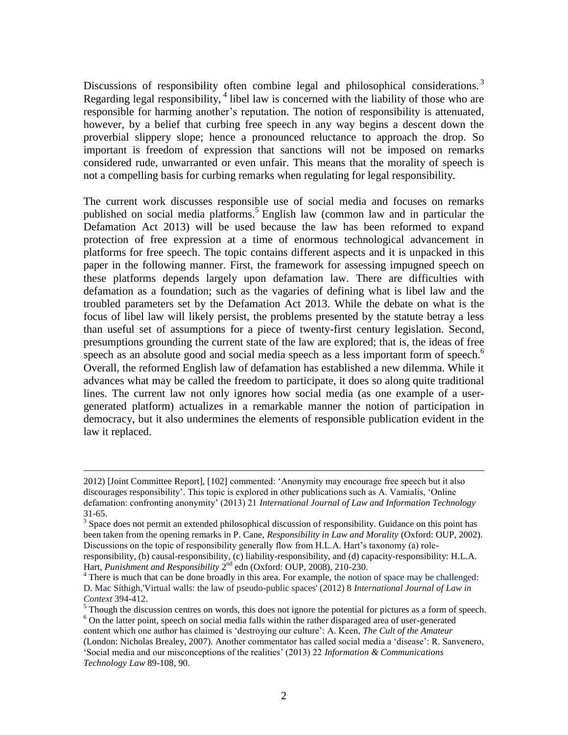Discussions of responsibility often combine legal and philosophical considerations.<sup>3</sup> Regarding legal responsibility,  $4$  libel law is concerned with the liability of those who are responsible for harming another's reputation. The notion of responsibility is attenuated, however, by a belief that curbing free speech in any way begins a descent down the proverbial slippery slope; hence a pronounced reluctance to approach the drop. So important is freedom of expression that sanctions will not be imposed on remarks considered rude, unwarranted or even unfair. This means that the morality of speech is not a compelling basis for curbing remarks when regulating for legal responsibility.

The current work discusses responsible use of social media and focuses on remarks published on social media platforms.<sup>5</sup> English law (common law and in particular the Defamation Act 2013) will be used because the law has been reformed to expand protection of free expression at a time of enormous technological advancement in platforms for free speech. The topic contains different aspects and it is unpacked in this paper in the following manner. First, the framework for assessing impugned speech on these platforms depends largely upon defamation law. There are difficulties with defamation as a foundation; such as the vagaries of defining what is libel law and the troubled parameters set by the Defamation Act 2013. While the debate on what is the focus of libel law will likely persist, the problems presented by the statute betray a less than useful set of assumptions for a piece of twenty-first century legislation. Second, presumptions grounding the current state of the law are explored; that is, the ideas of free speech as an absolute good and social media speech as a less important form of speech.<sup>6</sup> Overall, the reformed English law of defamation has established a new dilemma. While it advances what may be called the freedom to participate, it does so along quite traditional lines. The current law not only ignores how social media (as one example of a usergenerated platform) actualizes in a remarkable manner the notion of participation in democracy, but it also undermines the elements of responsible publication evident in the law it replaced.

<sup>2012)</sup> [Joint Committee Report], [102] commented: 'Anonymity may encourage free speech but it also discourages responsibility'. This topic is explored in other publications such as A. Vamialis, 'Online defamation: confronting anonymity' (2013) 21 *International Journal of Law and Information Technology* 31-65.

<sup>&</sup>lt;sup>3</sup> Space does not permit an extended philosophical discussion of responsibility. Guidance on this point has been taken from the opening remarks in P. Cane, *Responsibility in Law and Morality* (Oxford: OUP, 2002). Discussions on the topic of responsibility generally flow from H.L.A. Hart's taxonomy (a) roleresponsibility, (b) causal-responsibility, (c) liability-responsibility, and (d) capacity-responsibility: H.L.A. Hart, *Punishment and Responsibility* 2<sup>nd</sup> edn (Oxford: OUP, 2008), 210-230.

<sup>&</sup>lt;sup>4</sup> There is much that can be done broadly in this area. For example, the notion of space may be challenged: D. Mac Síthigh,'Virtual walls: the law of pseudo-public spaces' (2012) 8 *International Journal of Law in Context* 394-412.

 $<sup>5</sup>$  Though the discussion centres on words, this does not ignore the potential for pictures as a form of speech.</sup> <sup>6</sup> On the latter point, speech on social media falls within the rather disparaged area of user-generated content which one author has claimed is 'destroying our culture': A. Keen, *The Cult of the Amateur* (London: Nicholas Brealey, 2007). Another commentator has called social media a 'disease': R. Sanvenero, 'Social media and our misconceptions of the realities' (2013) 22 *Information & Communications Technology Law* 89-108, 90.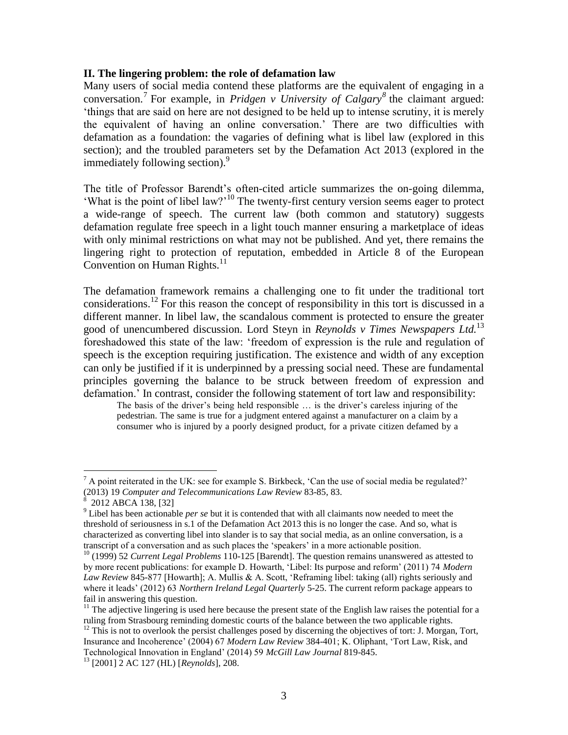#### **II. The lingering problem: the role of defamation law**

Many users of social media contend these platforms are the equivalent of engaging in a conversation.<sup>7</sup> For example, in *Pridgen v University of Calgary*<sup>8</sup> the claimant argued: 'things that are said on here are not designed to be held up to intense scrutiny, it is merely the equivalent of having an online conversation.' There are two difficulties with defamation as a foundation: the vagaries of defining what is libel law (explored in this section); and the troubled parameters set by the Defamation Act 2013 (explored in the immediately following section).<sup>9</sup>

The title of Professor Barendt's often-cited article summarizes the on-going dilemma, 'What is the point of libel law?'<sup>10</sup> The twenty-first century version seems eager to protect a wide-range of speech. The current law (both common and statutory) suggests defamation regulate free speech in a light touch manner ensuring a marketplace of ideas with only minimal restrictions on what may not be published. And yet, there remains the lingering right to protection of reputation, embedded in Article 8 of the European Convention on Human Rights.<sup>11</sup>

The defamation framework remains a challenging one to fit under the traditional tort considerations.<sup>12</sup> For this reason the concept of responsibility in this tort is discussed in a different manner. In libel law, the scandalous comment is protected to ensure the greater good of unencumbered discussion. Lord Steyn in *Reynolds v Times Newspapers Ltd.*<sup>13</sup> foreshadowed this state of the law: 'freedom of expression is the rule and regulation of speech is the exception requiring justification. The existence and width of any exception can only be justified if it is underpinned by a pressing social need. These are fundamental principles governing the balance to be struck between freedom of expression and defamation.' In contrast, consider the following statement of tort law and responsibility:

The basis of the driver's being held responsible … is the driver's careless injuring of the pedestrian. The same is true for a judgment entered against a manufacturer on a claim by a consumer who is injured by a poorly designed product, for a private citizen defamed by a

 $<sup>7</sup>$  A point reiterated in the UK: see for example S. Birkbeck, 'Can the use of social media be regulated?'</sup> (2013) 19 *Computer and Telecommunications Law Review* 83-85, 83.

<sup>&</sup>lt;sup>8</sup> 2012 ABCA 138, [32]

<sup>9</sup> Libel has been actionable *per se* but it is contended that with all claimants now needed to meet the threshold of seriousness in s.1 of the Defamation Act 2013 this is no longer the case. And so, what is characterized as converting libel into slander is to say that social media, as an online conversation, is a transcript of a conversation and as such places the 'speakers' in a more actionable position.

<sup>&</sup>lt;sup>10</sup> (1999) 52 *Current Legal Problems* 110-125 [Barendt]. The question remains unanswered as attested to by more recent publications: for example D. Howarth, 'Libel: Its purpose and reform' (2011) 74 *Modern Law Review* 845-877 [Howarth]; A. Mullis & A. Scott, 'Reframing libel: taking (all) rights seriously and where it leads' (2012) 63 *Northern Ireland Legal Quarterly* 5-25. The current reform package appears to fail in answering this question.

<sup>&</sup>lt;sup>11</sup> The adjective lingering is used here because the present state of the English law raises the potential for a ruling from Strasbourg reminding domestic courts of the balance between the two applicable rights.

 $12$  This is not to overlook the persist challenges posed by discerning the objectives of tort: J. Morgan, Tort, Insurance and Incoherence' (2004) 67 *Modern Law Review* 384-401; K. Oliphant, 'Tort Law, Risk, and Technological Innovation in England' (2014) 59 *McGill Law Journal* 819-845.

<sup>13</sup> [2001] 2 AC 127 (HL) [*Reynolds*], 208.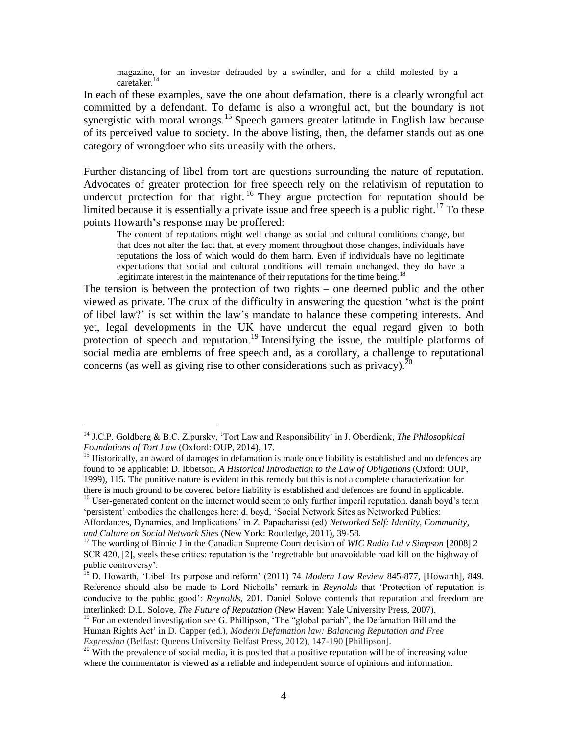magazine, for an investor defrauded by a swindler, and for a child molested by a caretaker.<sup>14</sup>

In each of these examples, save the one about defamation, there is a clearly wrongful act committed by a defendant. To defame is also a wrongful act, but the boundary is not synergistic with moral wrongs.<sup>15</sup> Speech garners greater latitude in English law because of its perceived value to society. In the above listing, then, the defamer stands out as one category of wrongdoer who sits uneasily with the others.

Further distancing of libel from tort are questions surrounding the nature of reputation. Advocates of greater protection for free speech rely on the relativism of reputation to undercut protection for that right.<sup>16</sup> They argue protection for reputation should be limited because it is essentially a private issue and free speech is a public right.<sup>17</sup> To these points Howarth's response may be proffered:

The content of reputations might well change as social and cultural conditions change, but that does not alter the fact that, at every moment throughout those changes, individuals have reputations the loss of which would do them harm. Even if individuals have no legitimate expectations that social and cultural conditions will remain unchanged, they do have a legitimate interest in the maintenance of their reputations for the time being.<sup>18</sup>

The tension is between the protection of two rights – one deemed public and the other viewed as private. The crux of the difficulty in answering the question 'what is the point of libel law?' is set within the law's mandate to balance these competing interests. And yet, legal developments in the UK have undercut the equal regard given to both protection of speech and reputation.<sup>19</sup> Intensifying the issue, the multiple platforms of social media are emblems of free speech and, as a corollary, a challenge to reputational concerns (as well as giving rise to other considerations such as privacy).  $^{20}$ 

<sup>14</sup> J.C.P. Goldberg & B.C. Zipursky, 'Tort Law and Responsibility' in J. Oberdienk*, The Philosophical Foundations of Tort Law* (Oxford: OUP, 2014), 17.

<sup>&</sup>lt;sup>15</sup> Historically, an award of damages in defamation is made once liability is established and no defences are found to be applicable: D. Ibbetson, *A Historical Introduction to the Law of Obligations* (Oxford: OUP, 1999), 115. The punitive nature is evident in this remedy but this is not a complete characterization for there is much ground to be covered before liability is established and defences are found in applicable.

<sup>&</sup>lt;sup>16</sup> User-generated content on the internet would seem to only further imperil reputation. danah boyd's term 'persistent' embodies the challenges here: d. boyd, 'Social Network Sites as Networked Publics:

Affordances, Dynamics, and Implications' in Z. Papacharissi (ed) *Networked Self: Identity, Community, and Culture on Social Network Sites* (New York: Routledge, 2011), 39-58.

<sup>17</sup> The wording of Binnie J in the Canadian Supreme Court decision of *WIC Radio Ltd v Simpson* [2008] 2 SCR 420, [2], steels these critics: reputation is the 'regrettable but unavoidable road kill on the highway of public controversy'.

<sup>18</sup> D. Howarth, 'Libel: Its purpose and reform' (2011) 74 *Modern Law Review* 845-877, [Howarth], 849. Reference should also be made to Lord Nicholls' remark in *Reynolds* that 'Protection of reputation is conducive to the public good': *Reynolds*, 201. Daniel Solove contends that reputation and freedom are interlinked: D.L. Solove, *The Future of Reputation* (New Haven: Yale University Press, 2007).

<sup>&</sup>lt;sup>19</sup> For an extended investigation see G. Phillipson, 'The "global pariah", the Defamation Bill and the Human Rights Act' in D. Capper (ed.), *Modern Defamation law: Balancing Reputation and Free Expression* (Belfast: Queens University Belfast Press, 2012), 147-190 [Phillipson].

 $20$  With the prevalence of social media, it is posited that a positive reputation will be of increasing value where the commentator is viewed as a reliable and independent source of opinions and information.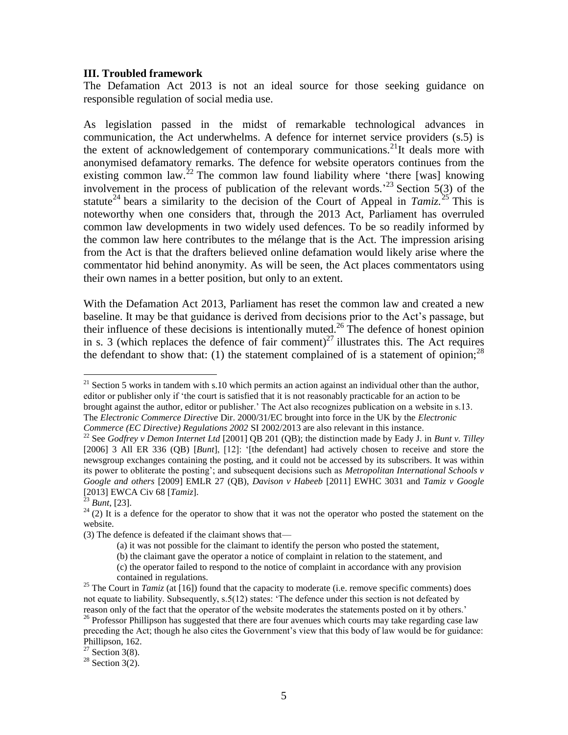#### **III. Troubled framework**

The Defamation Act 2013 is not an ideal source for those seeking guidance on responsible regulation of social media use.

As legislation passed in the midst of remarkable technological advances in communication, the Act underwhelms. A defence for internet service providers (s.5) is the extent of acknowledgement of contemporary communications.<sup>21</sup>It deals more with anonymised defamatory remarks. The defence for website operators continues from the existing common law.<sup>22</sup> The common law found liability where 'there [was] knowing involvement in the process of publication of the relevant words.<sup>23</sup> Section 5(3) of the statute<sup>24</sup> bears a similarity to the decision of the Court of Appeal in *Tamiz*.<sup>25</sup> This is noteworthy when one considers that, through the 2013 Act, Parliament has overruled common law developments in two widely used defences. To be so readily informed by the common law here contributes to the mélange that is the Act. The impression arising from the Act is that the drafters believed online defamation would likely arise where the commentator hid behind anonymity. As will be seen, the Act places commentators using their own names in a better position, but only to an extent.

With the Defamation Act 2013, Parliament has reset the common law and created a new baseline. It may be that guidance is derived from decisions prior to the Act's passage, but their influence of these decisions is intentionally muted.<sup>26</sup> The defence of honest opinion in s. 3 (which replaces the defence of fair comment)<sup>27</sup> illustrates this. The Act requires the defendant to show that: (1) the statement complained of is a statement of opinion;  $^{28}$ 

The *Electronic Commerce Directive* Dir. 2000/31/EC brought into force in the UK by the *Electronic Commerce (EC Directive) Regulations 2002* SI 2002/2013 are also relevant in this instance.

 $21$  Section 5 works in tandem with s.10 which permits an action against an individual other than the author, editor or publisher only if 'the court is satisfied that it is not reasonably practicable for an action to be brought against the author, editor or publisher.' The Act also recognizes publication on a website in s.13.

<sup>22</sup> See *Godfrey v Demon Internet Ltd* [2001] QB 201 (QB); the distinction made by Eady J. in *Bunt v. Tilley* [2006] 3 All ER 336 (QB) [*Bunt*], [12]: '[the defendant] had actively chosen to receive and store the newsgroup exchanges containing the posting, and it could not be accessed by its subscribers. It was within its power to obliterate the posting'; and subsequent decisions such as *Metropolitan International Schools v Google and others* [2009] EMLR 27 (QB), *Davison v Habeeb* [2011] EWHC 3031 and *Tamiz v Google*  [2013] EWCA Civ 68 [*Tamiz*].

<sup>23</sup> *Bunt*, [23].

 $24$  (2) It is a defence for the operator to show that it was not the operator who posted the statement on the website.

<sup>(3)</sup> The defence is defeated if the claimant shows that—

<sup>(</sup>a) it was not possible for the claimant to identify the person who posted the statement,

<sup>(</sup>b) the claimant gave the operator a notice of complaint in relation to the statement, and

<sup>(</sup>c) the operator failed to respond to the notice of complaint in accordance with any provision contained in regulations.

<sup>&</sup>lt;sup>25</sup> The Court in *Tamiz* (at [16]) found that the capacity to moderate (i.e. remove specific comments) does not equate to liability. Subsequently, s.5(12) states: 'The defence under this section is not defeated by reason only of the fact that the operator of the website moderates the statements posted on it by others.'

<sup>&</sup>lt;sup>26</sup> Professor Phillipson has suggested that there are four avenues which courts may take regarding case law preceding the Act; though he also cites the Government's view that this body of law would be for guidance: Phillipson, 162.

 $27$  Section 3(8).

 $28$  Section 3(2).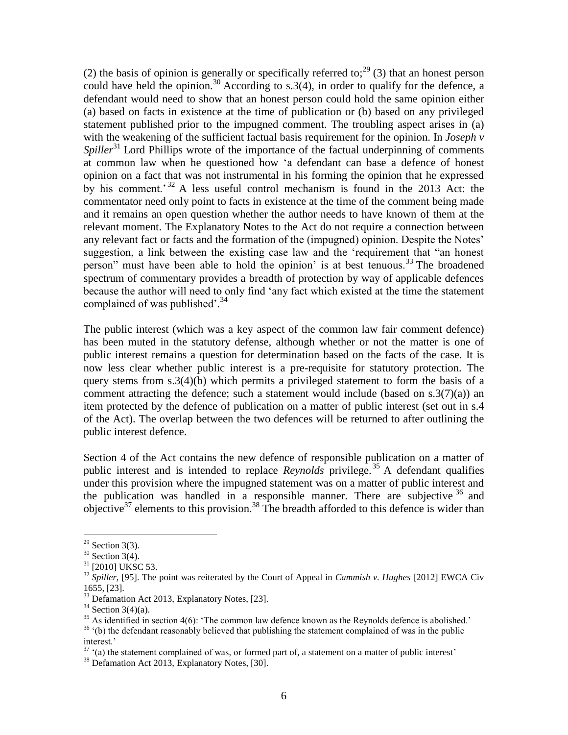(2) the basis of opinion is generally or specifically referred to;<sup>29</sup> (3) that an honest person could have held the opinion.<sup>30</sup> According to s.3(4), in order to qualify for the defence, a defendant would need to show that an honest person could hold the same opinion either (a) based on facts in existence at the time of publication or (b) based on any privileged statement published prior to the impugned comment. The troubling aspect arises in (a) with the weakening of the sufficient factual basis requirement for the opinion. In *Joseph v Spiller*<sup>31</sup> Lord Phillips wrote of the importance of the factual underpinning of comments at common law when he questioned how 'a defendant can base a defence of honest opinion on a fact that was not instrumental in his forming the opinion that he expressed by his comment.<sup>32</sup> A less useful control mechanism is found in the 2013 Act: the commentator need only point to facts in existence at the time of the comment being made and it remains an open question whether the author needs to have known of them at the relevant moment. The Explanatory Notes to the Act do not require a connection between any relevant fact or facts and the formation of the (impugned) opinion. Despite the Notes' suggestion, a link between the existing case law and the 'requirement that "an honest person" must have been able to hold the opinion' is at best tenuous.<sup>33</sup> The broadened spectrum of commentary provides a breadth of protection by way of applicable defences because the author will need to only find 'any fact which existed at the time the statement complained of was published'.<sup>34</sup>

The public interest (which was a key aspect of the common law fair comment defence) has been muted in the statutory defense, although whether or not the matter is one of public interest remains a question for determination based on the facts of the case. It is now less clear whether public interest is a pre-requisite for statutory protection. The query stems from  $s \cdot 3(4)(b)$  which permits a privileged statement to form the basis of a comment attracting the defence; such a statement would include (based on  $s \cdot 3(7)(a)$ ) an item protected by the defence of publication on a matter of public interest (set out in s.4 of the Act). The overlap between the two defences will be returned to after outlining the public interest defence.

Section 4 of the Act contains the new defence of responsible publication on a matter of public interest and is intended to replace *Reynolds* privilege.<sup>35</sup> A defendant qualifies under this provision where the impugned statement was on a matter of public interest and the publication was handled in a responsible manner. There are subjective  $36$  and objective<sup>37</sup> elements to this provision.<sup>38</sup> The breadth afforded to this defence is wider than

 $\overline{a}$ 

 $37$  (a) the statement complained of was, or formed part of, a statement on a matter of public interest'

 $29$  Section 3(3).

 $30$  Section 3(4).

<sup>&</sup>lt;sup>31</sup> [2010] UKSC 53.

<sup>32</sup> *Spiller*, [95]. The point was reiterated by the Court of Appeal in *Cammish v. Hughes* [2012] EWCA Civ 1655, [23].

<sup>&</sup>lt;sup>33</sup> Defamation Act 2013, Explanatory Notes, [23].

 $34$  Section 3(4)(a).

 $35$  As identified in section 4(6): 'The common law defence known as the Reynolds defence is abolished.' <sup>36</sup> '(b) the defendant reasonably believed that publishing the statement complained of was in the public interest.'

<sup>&</sup>lt;sup>38</sup> Defamation Act 2013, Explanatory Notes, [30].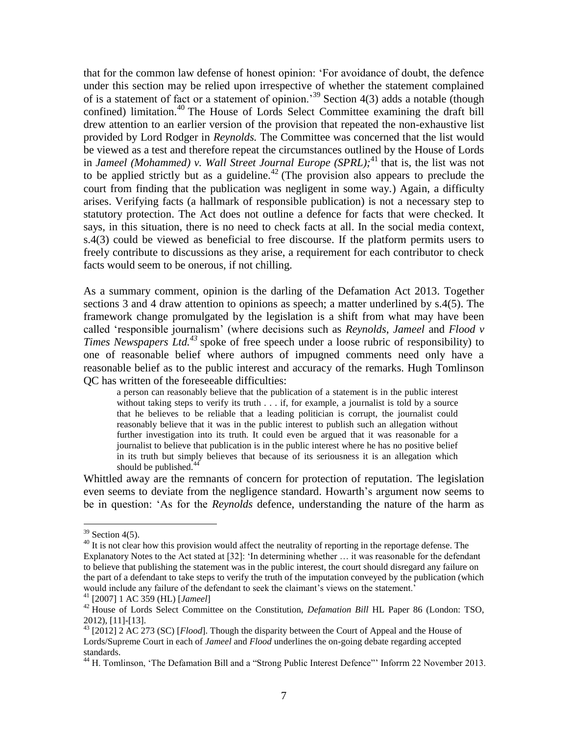that for the common law defense of honest opinion: 'For avoidance of doubt, the defence under this section may be relied upon irrespective of whether the statement complained of is a statement of fact or a statement of opinion.<sup>39</sup> Section 4(3) adds a notable (though confined) limitation. <sup>40</sup> The House of Lords Select Committee examining the draft bill drew attention to an earlier version of the provision that repeated the non-exhaustive list provided by Lord Rodger in *Reynolds.* The Committee was concerned that the list would be viewed as a test and therefore repeat the circumstances outlined by the House of Lords in *Jameel (Mohammed) v. Wall Street Journal Europe (SPRL);* <sup>41</sup> that is, the list was not to be applied strictly but as a guideline.<sup>42</sup> (The provision also appears to preclude the court from finding that the publication was negligent in some way.) Again, a difficulty arises. Verifying facts (a hallmark of responsible publication) is not a necessary step to statutory protection. The Act does not outline a defence for facts that were checked. It says, in this situation, there is no need to check facts at all. In the social media context, s.4(3) could be viewed as beneficial to free discourse. If the platform permits users to freely contribute to discussions as they arise, a requirement for each contributor to check facts would seem to be onerous, if not chilling.

As a summary comment, opinion is the darling of the Defamation Act 2013. Together sections 3 and 4 draw attention to opinions as speech; a matter underlined by s.4(5). The framework change promulgated by the legislation is a shift from what may have been called 'responsible journalism' (where decisions such as *Reynolds*, *Jameel* and *Flood v Times Newspapers Ltd.*<sup>43</sup> spoke of free speech under a loose rubric of responsibility) to one of reasonable belief where authors of impugned comments need only have a reasonable belief as to the public interest and accuracy of the remarks. Hugh Tomlinson QC has written of the foreseeable difficulties:

a person can reasonably believe that the publication of a statement is in the public interest without taking steps to verify its truth . . . if, for example, a journalist is told by a source that he believes to be reliable that a leading politician is corrupt, the journalist could reasonably believe that it was in the public interest to publish such an allegation without further investigation into its truth. It could even be argued that it was reasonable for a journalist to believe that publication is in the public interest where he has no positive belief in its truth but simply believes that because of its seriousness it is an allegation which should be published. $4$ 

Whittled away are the remnants of concern for protection of reputation. The legislation even seems to deviate from the negligence standard. Howarth's argument now seems to be in question: 'As for the *Reynolds* defence, understanding the nature of the harm as

 $39$  Section 4(5).

 $^{40}$  It is not clear how this provision would affect the neutrality of reporting in the reportage defense. The Explanatory Notes to the Act stated at [32]: 'In determining whether … it was reasonable for the defendant to believe that publishing the statement was in the public interest, the court should disregard any failure on the part of a defendant to take steps to verify the truth of the imputation conveyed by the publication (which would include any failure of the defendant to seek the claimant's views on the statement.'

<sup>41</sup> [2007] 1 AC 359 (HL) [*Jameel*]

<sup>&</sup>lt;sup>42</sup> House of Lords Select Committee on the Constitution, *Defamation Bill* HL Paper 86 (London: TSO, 2012), [11]-[13].

<sup>43</sup> [2012] 2 AC 273 (SC) [*Flood*]. Though the disparity between the Court of Appeal and the House of Lords/Supreme Court in each of *Jameel* and *Flood* underlines the on-going debate regarding accepted standards.

<sup>&</sup>lt;sup>44</sup> H. Tomlinson, 'The Defamation Bill and a "Strong Public Interest Defence"' Inform 22 November 2013.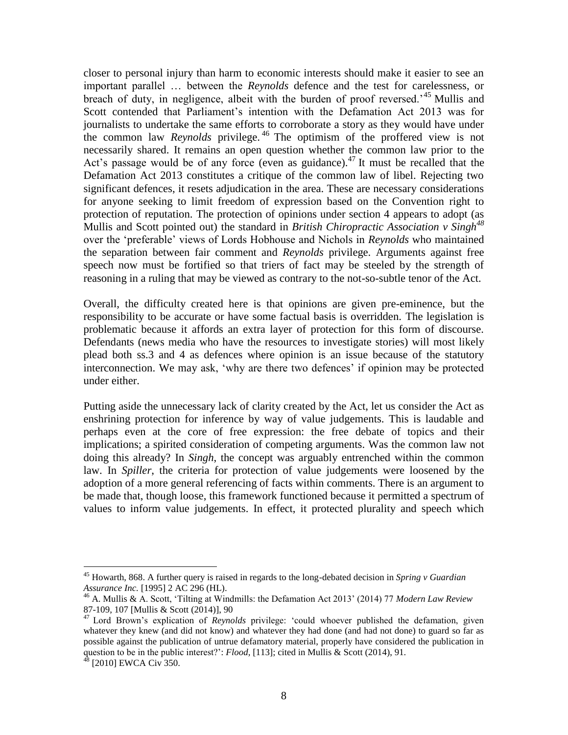closer to personal injury than harm to economic interests should make it easier to see an important parallel … between the *Reynolds* defence and the test for carelessness, or breach of duty, in negligence, albeit with the burden of proof reversed.'<sup>45</sup> Mullis and Scott contended that Parliament's intention with the Defamation Act 2013 was for journalists to undertake the same efforts to corroborate a story as they would have under the common law *Reynolds* privilege. <sup>46</sup> The optimism of the proffered view is not necessarily shared. It remains an open question whether the common law prior to the Act's passage would be of any force (even as guidance).<sup>47</sup> It must be recalled that the Defamation Act 2013 constitutes a critique of the common law of libel. Rejecting two significant defences, it resets adjudication in the area. These are necessary considerations for anyone seeking to limit freedom of expression based on the Convention right to protection of reputation. The protection of opinions under section 4 appears to adopt (as Mullis and Scott pointed out) the standard in *British Chiropractic Association v Singh<sup>48</sup>* over the 'preferable' views of Lords Hobhouse and Nichols in *Reynolds* who maintained the separation between fair comment and *Reynolds* privilege. Arguments against free speech now must be fortified so that triers of fact may be steeled by the strength of reasoning in a ruling that may be viewed as contrary to the not-so-subtle tenor of the Act.

Overall, the difficulty created here is that opinions are given pre-eminence, but the responsibility to be accurate or have some factual basis is overridden. The legislation is problematic because it affords an extra layer of protection for this form of discourse. Defendants (news media who have the resources to investigate stories) will most likely plead both ss.3 and 4 as defences where opinion is an issue because of the statutory interconnection. We may ask, 'why are there two defences' if opinion may be protected under either.

Putting aside the unnecessary lack of clarity created by the Act, let us consider the Act as enshrining protection for inference by way of value judgements. This is laudable and perhaps even at the core of free expression: the free debate of topics and their implications; a spirited consideration of competing arguments. Was the common law not doing this already? In *Singh*, the concept was arguably entrenched within the common law. In *Spiller*, the criteria for protection of value judgements were loosened by the adoption of a more general referencing of facts within comments. There is an argument to be made that, though loose, this framework functioned because it permitted a spectrum of values to inform value judgements. In effect, it protected plurality and speech which

<sup>45</sup> Howarth, 868. A further query is raised in regards to the long-debated decision in *Spring v Guardian Assurance Inc.* [1995] 2 AC 296 (HL).

<sup>46</sup> A. Mullis & A. Scott, 'Tilting at Windmills: the Defamation Act 2013' (2014) 77 *Modern Law Review*  87-109, 107 [Mullis & Scott (2014)], 90

<sup>47</sup> Lord Brown's explication of *Reynolds* privilege: 'could whoever published the defamation, given whatever they knew (and did not know) and whatever they had done (and had not done) to guard so far as possible against the publication of untrue defamatory material, properly have considered the publication in question to be in the public interest?': *Flood,* [113]; cited in Mullis & Scott (2014), 91.

 $48$  [2010] EWCA Civ 350.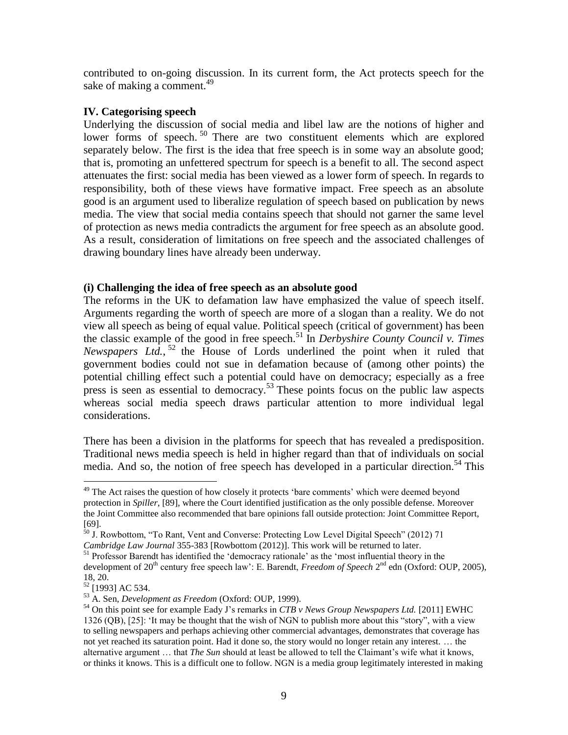contributed to on-going discussion. In its current form, the Act protects speech for the sake of making a comment. $^{49}$ 

## **IV. Categorising speech**

Underlying the discussion of social media and libel law are the notions of higher and lower forms of speech.<sup>50</sup> There are two constituent elements which are explored separately below. The first is the idea that free speech is in some way an absolute good; that is, promoting an unfettered spectrum for speech is a benefit to all. The second aspect attenuates the first: social media has been viewed as a lower form of speech. In regards to responsibility, both of these views have formative impact. Free speech as an absolute good is an argument used to liberalize regulation of speech based on publication by news media. The view that social media contains speech that should not garner the same level of protection as news media contradicts the argument for free speech as an absolute good. As a result, consideration of limitations on free speech and the associated challenges of drawing boundary lines have already been underway.

### **(i) Challenging the idea of free speech as an absolute good**

The reforms in the UK to defamation law have emphasized the value of speech itself. Arguments regarding the worth of speech are more of a slogan than a reality. We do not view all speech as being of equal value. Political speech (critical of government) has been the classic example of the good in free speech.<sup>51</sup> In *Derbyshire County Council v. Times Newspapers Ltd.*, <sup>52</sup> the House of Lords underlined the point when it ruled that government bodies could not sue in defamation because of (among other points) the potential chilling effect such a potential could have on democracy; especially as a free press is seen as essential to democracy.<sup>53</sup> These points focus on the public law aspects whereas social media speech draws particular attention to more individual legal considerations.

There has been a division in the platforms for speech that has revealed a predisposition. Traditional news media speech is held in higher regard than that of individuals on social media. And so, the notion of free speech has developed in a particular direction.<sup>54</sup> This

<sup>&</sup>lt;sup>49</sup> The Act raises the question of how closely it protects 'bare comments' which were deemed beyond protection in *Spiller*, [89], where the Court identified justification as the only possible defense. Moreover the Joint Committee also recommended that bare opinions fall outside protection: Joint Committee Report, [69].

<sup>&</sup>lt;sup>50</sup> J. Rowbottom, "To Rant, Vent and Converse: Protecting Low Level Digital Speech" (2012) 71 *Cambridge Law Journal* 355-383 [Rowbottom (2012)]. This work will be returned to later.

<sup>&</sup>lt;sup>51</sup> Professor Barendt has identified the 'democracy rationale' as the 'most influential theory in the development of 20<sup>th</sup> century free speech law': E. Barendt, *Freedom of Speech* 2<sup>nd</sup> edn (Oxford: OUP, 2005), 18, 20.

<sup>&</sup>lt;sup>52</sup> [1993] AC 534.

<sup>53</sup> A. Sen, *Development as Freedom* (Oxford: OUP, 1999).

<sup>54</sup> On this point see for example Eady J's remarks in *CTB v News Group Newspapers Ltd.* [2011] EWHC 1326 (QB), [25]: 'It may be thought that the wish of NGN to publish more about this "story", with a view to selling newspapers and perhaps achieving other commercial advantages, demonstrates that coverage has not yet reached its saturation point. Had it done so, the story would no longer retain any interest. … the alternative argument … that *The Sun* should at least be allowed to tell the Claimant's wife what it knows, or thinks it knows. This is a difficult one to follow. NGN is a media group legitimately interested in making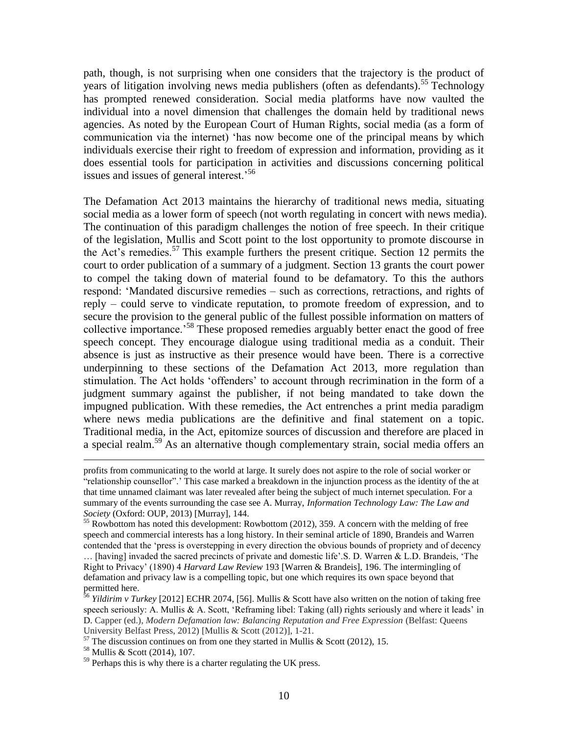path, though, is not surprising when one considers that the trajectory is the product of years of litigation involving news media publishers (often as defendants).<sup>55</sup> Technology has prompted renewed consideration. Social media platforms have now vaulted the individual into a novel dimension that challenges the domain held by traditional news agencies. As noted by the European Court of Human Rights, social media (as a form of communication via the internet) 'has now become one of the principal means by which individuals exercise their right to freedom of expression and information, providing as it does essential tools for participation in activities and discussions concerning political issues and issues of general interest.<sup>56</sup>

The Defamation Act 2013 maintains the hierarchy of traditional news media, situating social media as a lower form of speech (not worth regulating in concert with news media). The continuation of this paradigm challenges the notion of free speech. In their critique of the legislation, Mullis and Scott point to the lost opportunity to promote discourse in the Act's remedies.<sup>57</sup> This example furthers the present critique. Section 12 permits the court to order publication of a summary of a judgment. Section 13 grants the court power to compel the taking down of material found to be defamatory. To this the authors respond: 'Mandated discursive remedies – such as corrections, retractions, and rights of reply – could serve to vindicate reputation, to promote freedom of expression, and to secure the provision to the general public of the fullest possible information on matters of collective importance.<sup>58</sup> These proposed remedies arguably better enact the good of free speech concept. They encourage dialogue using traditional media as a conduit. Their absence is just as instructive as their presence would have been. There is a corrective underpinning to these sections of the Defamation Act 2013, more regulation than stimulation. The Act holds 'offenders' to account through recrimination in the form of a judgment summary against the publisher, if not being mandated to take down the impugned publication. With these remedies, the Act entrenches a print media paradigm where news media publications are the definitive and final statement on a topic. Traditional media, in the Act, epitomize sources of discussion and therefore are placed in a special realm.<sup>59</sup> As an alternative though complementary strain, social media offers an

profits from communicating to the world at large. It surely does not aspire to the role of social worker or "relationship counsellor".' This case marked a breakdown in the injunction process as the identity of the at that time unnamed claimant was later revealed after being the subject of much internet speculation. For a summary of the events surrounding the case see A. Murray, *Information Technology Law: The Law and Society* (Oxford: OUP, 2013) [Murray], 144.

<sup>&</sup>lt;sup>55</sup> Rowbottom has noted this development: Rowbottom (2012), 359. A concern with the melding of free speech and commercial interests has a long history. In their seminal article of 1890, Brandeis and Warren contended that the 'press is overstepping in every direction the obvious bounds of propriety and of decency … [having] invaded the sacred precincts of private and domestic life'.S. D. Warren & L.D. Brandeis, 'The Right to Privacy' (1890) 4 *Harvard Law Review* 193 [Warren & Brandeis], 196. The intermingling of defamation and privacy law is a compelling topic, but one which requires its own space beyond that permitted here.

<sup>&</sup>lt;sup>56</sup> *Yildirim v Turkey* [2012] ECHR 2074, [56]. Mullis & Scott have also written on the notion of taking free speech seriously: A. Mullis & A. Scott, 'Reframing libel: Taking (all) rights seriously and where it leads' in D. Capper (ed.), *Modern Defamation law: Balancing Reputation and Free Expression* (Belfast: Queens University Belfast Press, 2012) [Mullis & Scott (2012)], 1-21.

 $57$  The discussion continues on from one they started in Mullis & Scott (2012), 15.

<sup>58</sup> Mullis & Scott (2014), 107.

 $59$  Perhaps this is why there is a charter regulating the UK press.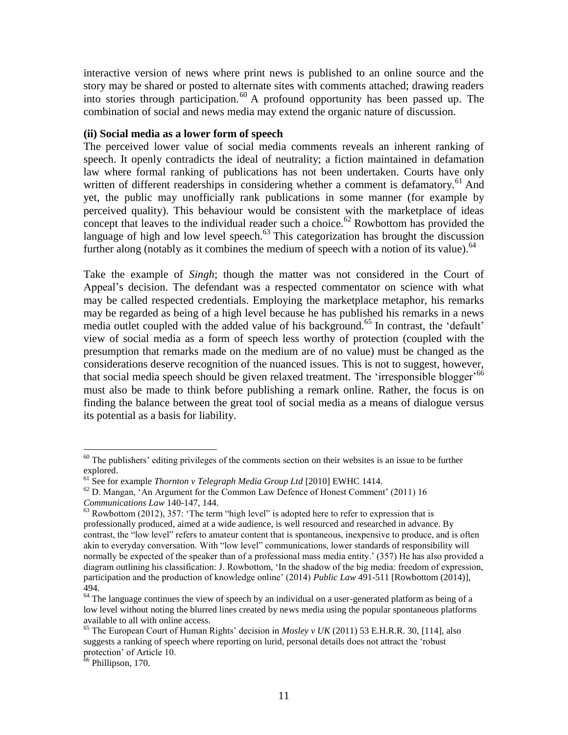interactive version of news where print news is published to an online source and the story may be shared or posted to alternate sites with comments attached; drawing readers into stories through participation.<sup>60</sup> A profound opportunity has been passed up. The combination of social and news media may extend the organic nature of discussion.

#### **(ii) Social media as a lower form of speech**

The perceived lower value of social media comments reveals an inherent ranking of speech. It openly contradicts the ideal of neutrality; a fiction maintained in defamation law where formal ranking of publications has not been undertaken. Courts have only written of different readerships in considering whether a comment is defamatory.<sup>61</sup> And yet, the public may unofficially rank publications in some manner (for example by perceived quality). This behaviour would be consistent with the marketplace of ideas concept that leaves to the individual reader such a choice.<sup>62</sup> Rowbottom has provided the language of high and low level speech. $^{63}$  This categorization has brought the discussion further along (notably as it combines the medium of speech with a notion of its value).<sup>64</sup>

Take the example of *Singh*; though the matter was not considered in the Court of Appeal's decision. The defendant was a respected commentator on science with what may be called respected credentials. Employing the marketplace metaphor, his remarks may be regarded as being of a high level because he has published his remarks in a news media outlet coupled with the added value of his background.<sup>65</sup> In contrast, the 'default' view of social media as a form of speech less worthy of protection (coupled with the presumption that remarks made on the medium are of no value) must be changed as the considerations deserve recognition of the nuanced issues. This is not to suggest, however, that social media speech should be given relaxed treatment. The 'irresponsible blogger'<sup>66</sup> must also be made to think before publishing a remark online. Rather, the focus is on finding the balance between the great tool of social media as a means of dialogue versus its potential as a basis for liability.

 $60$  The publishers' editing privileges of the comments section on their websites is an issue to be further explored.

<sup>61</sup> See for example *Thornton v Telegraph Media Group Ltd* [2010] EWHC 1414.

 $62$  D. Mangan, 'An Argument for the Common Law Defence of Honest Comment' (2011) 16

*Communications Law* 140-147, 144.

 $63$  Rowbottom (2012), 357: 'The term "high level" is adopted here to refer to expression that is professionally produced, aimed at a wide audience, is well resourced and researched in advance. By contrast, the "low level" refers to amateur content that is spontaneous, inexpensive to produce, and is often akin to everyday conversation. With "low level" communications, lower standards of responsibility will normally be expected of the speaker than of a professional mass media entity.' (357) He has also provided a diagram outlining his classification: J. Rowbottom, 'In the shadow of the big media: freedom of expression, participation and the production of knowledge online' (2014) *Public Law* 491-511 [Rowbottom (2014)], 494.

 $64$  The language continues the view of speech by an individual on a user-generated platform as being of a low level without noting the blurred lines created by news media using the popular spontaneous platforms available to all with online access.

<sup>65</sup> The European Court of Human Rights' decision in *Mosley v UK* (2011) 53 E.H.R.R. 30, [114], also suggests a ranking of speech where reporting on lurid, personal details does not attract the 'robust protection' of Article 10.

<sup>&</sup>lt;sup>66</sup> Phillipson, 170.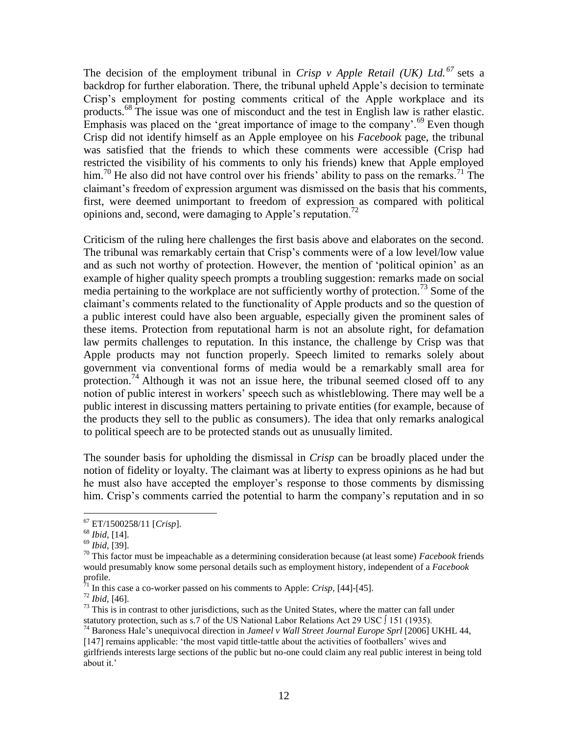The decision of the employment tribunal in *Crisp v Apple Retail (UK) Ltd. <sup>67</sup>* sets a backdrop for further elaboration. There, the tribunal upheld Apple's decision to terminate Crisp's employment for posting comments critical of the Apple workplace and its products.<sup>68</sup> The issue was one of misconduct and the test in English law is rather elastic. Emphasis was placed on the 'great importance of image to the company'.<sup>69</sup> Even though Crisp did not identify himself as an Apple employee on his *Facebook* page, the tribunal was satisfied that the friends to which these comments were accessible (Crisp had restricted the visibility of his comments to only his friends) knew that Apple employed him.<sup>70</sup> He also did not have control over his friends' ability to pass on the remarks.<sup>71</sup> The claimant's freedom of expression argument was dismissed on the basis that his comments, first, were deemed unimportant to freedom of expression as compared with political opinions and, second, were damaging to Apple's reputation.<sup>72</sup>

Criticism of the ruling here challenges the first basis above and elaborates on the second. The tribunal was remarkably certain that Crisp's comments were of a low level/low value and as such not worthy of protection. However, the mention of 'political opinion' as an example of higher quality speech prompts a troubling suggestion: remarks made on social media pertaining to the workplace are not sufficiently worthy of protection.<sup>73</sup> Some of the claimant's comments related to the functionality of Apple products and so the question of a public interest could have also been arguable, especially given the prominent sales of these items. Protection from reputational harm is not an absolute right, for defamation law permits challenges to reputation. In this instance, the challenge by Crisp was that Apple products may not function properly. Speech limited to remarks solely about government via conventional forms of media would be a remarkably small area for protection.<sup>74</sup> Although it was not an issue here, the tribunal seemed closed off to any notion of public interest in workers' speech such as whistleblowing. There may well be a public interest in discussing matters pertaining to private entities (for example, because of the products they sell to the public as consumers). The idea that only remarks analogical to political speech are to be protected stands out as unusually limited.

The sounder basis for upholding the dismissal in *Crisp* can be broadly placed under the notion of fidelity or loyalty. The claimant was at liberty to express opinions as he had but he must also have accepted the employer's response to those comments by dismissing him. Crisp's comments carried the potential to harm the company's reputation and in so

<sup>67</sup> ET/1500258/11 [*Crisp*].

<sup>68</sup> *Ibid,* [14].

<sup>69</sup> *Ibid*, [39].

<sup>70</sup> This factor must be impeachable as a determining consideration because (at least some) *Facebook* friends would presumably know some personal details such as employment history, independent of a *Facebook* profile.

 $^{71}$  In this case a co-worker passed on his comments to Apple: *Crisp*, [44]-[45].

<sup>72</sup> *Ibid,* [46].

 $73$  This is in contrast to other jurisdictions, such as the United States, where the matter can fall under statutory protection, such as s.7 of the US National Labor Relations Act 29 USC ∫ 151 (1935).

<sup>74</sup> Baroness Hale's unequivocal direction in *Jameel v Wall Street Journal Europe Sprl* [2006] UKHL 44, [147] remains applicable: 'the most vapid tittle-tattle about the activities of footballers' wives and

girlfriends interests large sections of the public but no-one could claim any real public interest in being told about it.'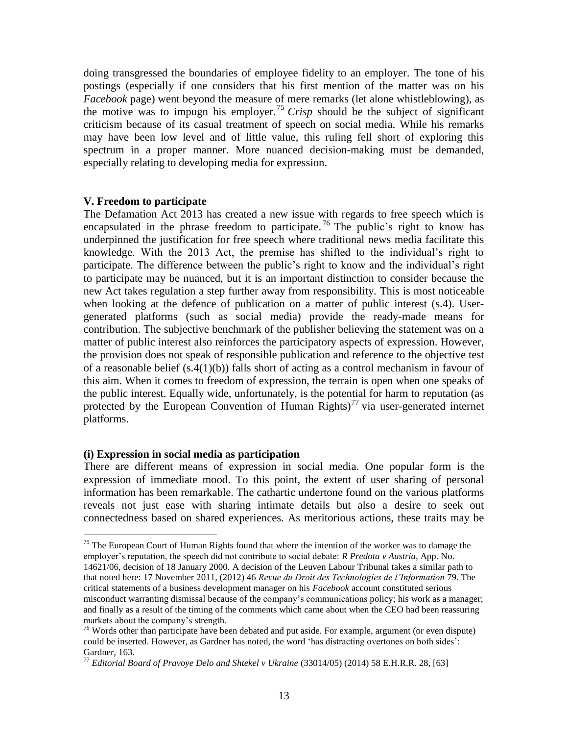doing transgressed the boundaries of employee fidelity to an employer. The tone of his postings (especially if one considers that his first mention of the matter was on his *Facebook* page) went beyond the measure of mere remarks (let alone whistleblowing), as the motive was to impugn his employer.<sup>75</sup> *Crisp* should be the subject of significant criticism because of its casual treatment of speech on social media. While his remarks may have been low level and of little value, this ruling fell short of exploring this spectrum in a proper manner. More nuanced decision-making must be demanded, especially relating to developing media for expression.

#### **V. Freedom to participate**

The Defamation Act 2013 has created a new issue with regards to free speech which is encapsulated in the phrase freedom to participate.<sup>76</sup> The public's right to know has underpinned the justification for free speech where traditional news media facilitate this knowledge. With the 2013 Act, the premise has shifted to the individual's right to participate. The difference between the public's right to know and the individual's right to participate may be nuanced, but it is an important distinction to consider because the new Act takes regulation a step further away from responsibility. This is most noticeable when looking at the defence of publication on a matter of public interest (s.4). Usergenerated platforms (such as social media) provide the ready-made means for contribution. The subjective benchmark of the publisher believing the statement was on a matter of public interest also reinforces the participatory aspects of expression. However, the provision does not speak of responsible publication and reference to the objective test of a reasonable belief (s.4(1)(b)) falls short of acting as a control mechanism in favour of this aim. When it comes to freedom of expression, the terrain is open when one speaks of the public interest. Equally wide, unfortunately, is the potential for harm to reputation (as protected by the European Convention of Human Rights)<sup>77</sup> via user-generated internet platforms.

#### **(i) Expression in social media as participation**

 $\overline{a}$ 

There are different means of expression in social media. One popular form is the expression of immediate mood. To this point, the extent of user sharing of personal information has been remarkable. The cathartic undertone found on the various platforms reveals not just ease with sharing intimate details but also a desire to seek out connectedness based on shared experiences. As meritorious actions, these traits may be

<sup>&</sup>lt;sup>75</sup> The European Court of Human Rights found that where the intention of the worker was to damage the employer's reputation, the speech did not contribute to social debate: *R Predota v Austria*, App. No. 14621/06, decision of 18 January 2000. A decision of the Leuven Labour Tribunal takes a similar path to that noted here: 17 November 2011, (2012) 46 *Revue du Droit des Technologies de l'Information* 79. The critical statements of a business development manager on his *Facebook* account constituted serious misconduct warranting dismissal because of the company's communications policy; his work as a manager; and finally as a result of the timing of the comments which came about when the CEO had been reassuring markets about the company's strength.

 $76$  Words other than participate have been debated and put aside. For example, argument (or even dispute) could be inserted. However, as Gardner has noted, the word 'has distracting overtones on both sides': Gardner, 163.

<sup>77</sup> *Editorial Board of Pravoye Delo and Shtekel v Ukraine* (33014/05) (2014) 58 E.H.R.R. 28, [63]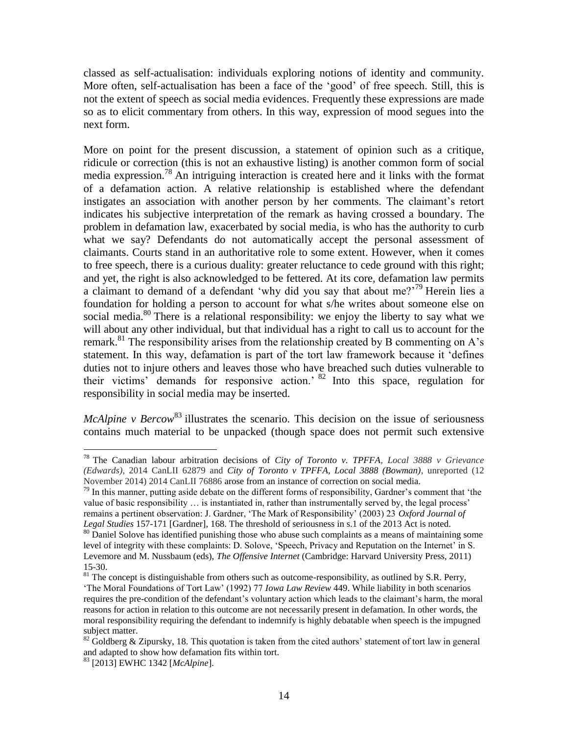classed as self-actualisation: individuals exploring notions of identity and community. More often, self-actualisation has been a face of the 'good' of free speech. Still, this is not the extent of speech as social media evidences. Frequently these expressions are made so as to elicit commentary from others. In this way, expression of mood segues into the next form.

More on point for the present discussion, a statement of opinion such as a critique, ridicule or correction (this is not an exhaustive listing) is another common form of social media expression. <sup>78</sup> An intriguing interaction is created here and it links with the format of a defamation action. A relative relationship is established where the defendant instigates an association with another person by her comments. The claimant's retort indicates his subjective interpretation of the remark as having crossed a boundary. The problem in defamation law, exacerbated by social media, is who has the authority to curb what we say? Defendants do not automatically accept the personal assessment of claimants. Courts stand in an authoritative role to some extent. However, when it comes to free speech, there is a curious duality: greater reluctance to cede ground with this right; and yet, the right is also acknowledged to be fettered. At its core, defamation law permits a claimant to demand of a defendant 'why did you say that about me?'<sup>79</sup> Herein lies a foundation for holding a person to account for what s/he writes about someone else on social media.<sup>80</sup> There is a relational responsibility: we enjoy the liberty to say what we will about any other individual, but that individual has a right to call us to account for the remark.<sup>81</sup> The responsibility arises from the relationship created by B commenting on A's statement. In this way, defamation is part of the tort law framework because it 'defines duties not to injure others and leaves those who have breached such duties vulnerable to their victims' demands for responsive action.' <sup>82</sup> Into this space, regulation for responsibility in social media may be inserted.

*McAlpine v Bercow*<sup>83</sup> illustrates the scenario. This decision on the issue of seriousness contains much material to be unpacked (though space does not permit such extensive

<sup>78</sup> The Canadian labour arbitration decisions of *City of Toronto v. TPFFA, Local 3888 v Grievance (Edwards)*, 2014 CanLII 62879 and *City of Toronto v TPFFA, Local 3888 (Bowman)*, unreported (12 November 2014) 2014 CanLII 76886 arose from an instance of correction on social media.

<sup>&</sup>lt;sup>79</sup> In this manner, putting aside debate on the different forms of responsibility, Gardner's comment that 'the value of basic responsibility … is instantiated in, rather than instrumentally served by, the legal process' remains a pertinent observation: J. Gardner, 'The Mark of Responsibility' (2003) 23 *Oxford Journal of Legal Studies* 157-171 [Gardner], 168. The threshold of seriousness in s.1 of the 2013 Act is noted.

 $80$  Daniel Solove has identified punishing those who abuse such complaints as a means of maintaining some level of integrity with these complaints: D. Solove, 'Speech, Privacy and Reputation on the Internet' in S. Levemore and M. Nussbaum (eds), *The Offensive Internet* (Cambridge: Harvard University Press, 2011) 15-30.

 $81$  The concept is distinguishable from others such as outcome-responsibility, as outlined by S.R. Perry, 'The Moral Foundations of Tort Law' (1992) 77 *Iowa Law Review* 449. While liability in both scenarios requires the pre-condition of the defendant's voluntary action which leads to the claimant's harm, the moral reasons for action in relation to this outcome are not necessarily present in defamation. In other words, the moral responsibility requiring the defendant to indemnify is highly debatable when speech is the impugned subject matter.

 $82$  Goldberg & Zipursky, 18. This quotation is taken from the cited authors' statement of tort law in general and adapted to show how defamation fits within tort.

<sup>83</sup> [2013] EWHC 1342 [*McAlpine*].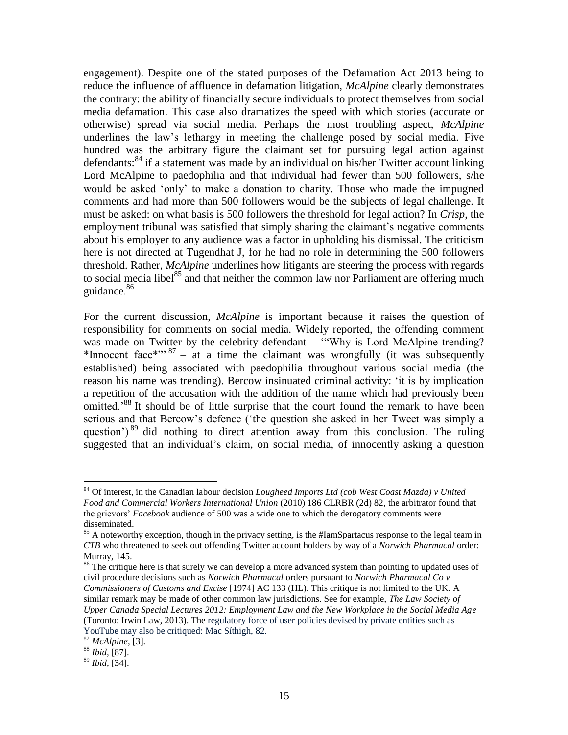engagement). Despite one of the stated purposes of the Defamation Act 2013 being to reduce the influence of affluence in defamation litigation, *McAlpine* clearly demonstrates the contrary: the ability of financially secure individuals to protect themselves from social media defamation. This case also dramatizes the speed with which stories (accurate or otherwise) spread via social media. Perhaps the most troubling aspect, *McAlpine* underlines the law's lethargy in meeting the challenge posed by social media. Five hundred was the arbitrary figure the claimant set for pursuing legal action against defendants:<sup>84</sup> if a statement was made by an individual on his/her Twitter account linking Lord McAlpine to paedophilia and that individual had fewer than 500 followers, s/he would be asked 'only' to make a donation to charity. Those who made the impugned comments and had more than 500 followers would be the subjects of legal challenge. It must be asked: on what basis is 500 followers the threshold for legal action? In *Crisp*, the employment tribunal was satisfied that simply sharing the claimant's negative comments about his employer to any audience was a factor in upholding his dismissal. The criticism here is not directed at Tugendhat J, for he had no role in determining the 500 followers threshold. Rather, *McAlpine* underlines how litigants are steering the process with regards to social media libel<sup>85</sup> and that neither the common law nor Parliament are offering much guidance.<sup>86</sup>

For the current discussion, *McAlpine* is important because it raises the question of responsibility for comments on social media. Widely reported, the offending comment was made on Twitter by the celebrity defendant – "Why is Lord McAlpine trending? \*Innocent face\*"' <sup>87</sup> – at a time the claimant was wrongfully (it was subsequently established) being associated with paedophilia throughout various social media (the reason his name was trending). Bercow insinuated criminal activity: 'it is by implication a repetition of the accusation with the addition of the name which had previously been omitted.<sup>88</sup> It should be of little surprise that the court found the remark to have been serious and that Bercow's defence ('the question she asked in her Tweet was simply a question')  $89$  did nothing to direct attention away from this conclusion. The ruling suggested that an individual's claim, on social media, of innocently asking a question

<sup>86</sup> The critique here is that surely we can develop a more advanced system than pointing to updated uses of civil procedure decisions such as *Norwich Pharmacal* orders pursuant to *Norwich Pharmacal Co v Commissioners of Customs and Excise* [1974] AC 133 (HL). This critique is not limited to the UK. A similar remark may be made of other common law jurisdictions. See for example, *The Law Society of Upper Canada Special Lectures 2012: Employment Law and the New Workplace in the Social Media Age*  (Toronto: Irwin Law, 2013). The regulatory force of user policies devised by private entities such as YouTube may also be critiqued: Mac Síthigh, 82.

<sup>84</sup> Of interest, in the Canadian labour decision *Lougheed Imports Ltd (cob West Coast Mazda) v United Food and Commercial Workers International Union* (2010) 186 CLRBR (2d) 82*,* the arbitrator found that the grievors' *Facebook* audience of 500 was a wide one to which the derogatory comments were disseminated.

<sup>&</sup>lt;sup>85</sup> A noteworthy exception, though in the privacy setting, is the #IamSpartacus response to the legal team in *CTB* who threatened to seek out offending Twitter account holders by way of a *Norwich Pharmacal* order: Murray, 145.

<sup>87</sup> *McAlpine,* [3].

<sup>88</sup> *Ibid,* [87].

<sup>89</sup> *Ibid,* [34].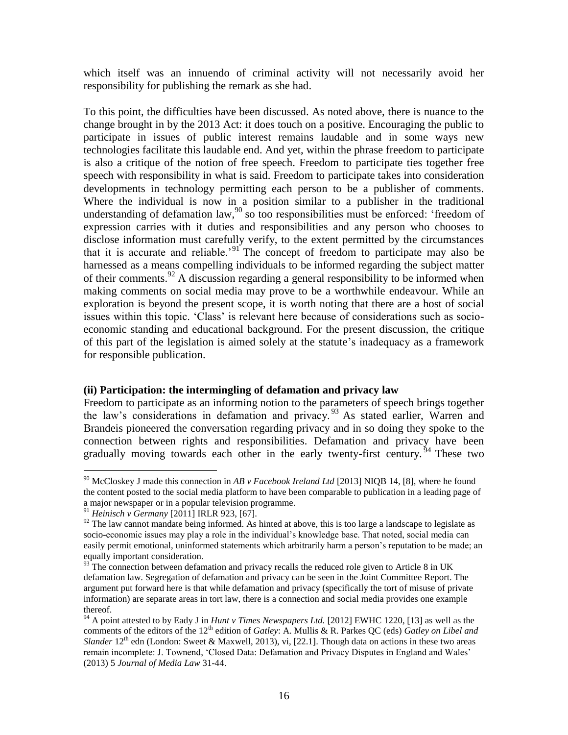which itself was an innuendo of criminal activity will not necessarily avoid her responsibility for publishing the remark as she had.

To this point, the difficulties have been discussed. As noted above, there is nuance to the change brought in by the 2013 Act: it does touch on a positive. Encouraging the public to participate in issues of public interest remains laudable and in some ways new technologies facilitate this laudable end. And yet, within the phrase freedom to participate is also a critique of the notion of free speech. Freedom to participate ties together free speech with responsibility in what is said. Freedom to participate takes into consideration developments in technology permitting each person to be a publisher of comments. Where the individual is now in a position similar to a publisher in the traditional understanding of defamation law,  $90$  so too responsibilities must be enforced: 'freedom of expression carries with it duties and responsibilities and any person who chooses to disclose information must carefully verify, to the extent permitted by the circumstances that it is accurate and reliable.<sup>91</sup> The concept of freedom to participate may also be harnessed as a means compelling individuals to be informed regarding the subject matter of their comments.<sup>92</sup> A discussion regarding a general responsibility to be informed when making comments on social media may prove to be a worthwhile endeavour. While an exploration is beyond the present scope, it is worth noting that there are a host of social issues within this topic. 'Class' is relevant here because of considerations such as socioeconomic standing and educational background. For the present discussion, the critique of this part of the legislation is aimed solely at the statute's inadequacy as a framework for responsible publication.

## **(ii) Participation: the intermingling of defamation and privacy law**

Freedom to participate as an informing notion to the parameters of speech brings together the law's considerations in defamation and privacy.<sup>93</sup> As stated earlier, Warren and Brandeis pioneered the conversation regarding privacy and in so doing they spoke to the connection between rights and responsibilities. Defamation and privacy have been gradually moving towards each other in the early twenty-first century.  $94$  These two

<sup>90</sup> McCloskey J made this connection in *AB v Facebook Ireland Ltd* [2013] NIQB 14, [8], where he found the content posted to the social media platform to have been comparable to publication in a leading page of a major newspaper or in a popular television programme.

<sup>91</sup> *Heinisch v Germany* [2011] IRLR 923, [67].

 $92$  The law cannot mandate being informed. As hinted at above, this is too large a landscape to legislate as socio-economic issues may play a role in the individual's knowledge base. That noted, social media can easily permit emotional, uninformed statements which arbitrarily harm a person's reputation to be made; an equally important consideration.

 $93$ <sup>33</sup> The connection between defamation and privacy recalls the reduced role given to Article 8 in UK defamation law. Segregation of defamation and privacy can be seen in the Joint Committee Report. The argument put forward here is that while defamation and privacy (specifically the tort of misuse of private information) are separate areas in tort law, there is a connection and social media provides one example thereof.

<sup>94</sup> A point attested to by Eady J in *Hunt v Times Newspapers Ltd.* [2012] EWHC 1220, [13] as well as the comments of the editors of the 12<sup>th</sup> edition of *Gatley*: A. Mullis & R. Parkes QC (eds) *Gatley on Libel and Slander* 12<sup>th</sup> edn (London: Sweet & Maxwell, 2013), vi, [22.1]. Though data on actions in these two areas remain incomplete: J. Townend, 'Closed Data: Defamation and Privacy Disputes in England and Wales' (2013) 5 *Journal of Media Law* 31-44.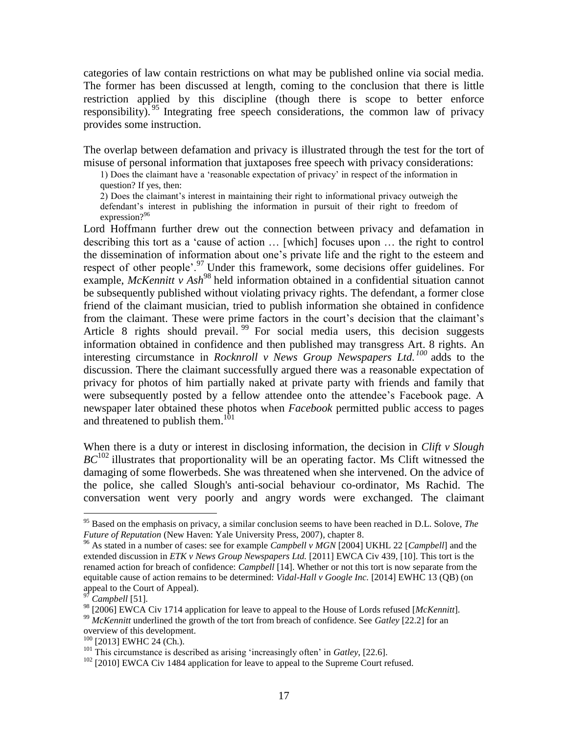categories of law contain restrictions on what may be published online via social media. The former has been discussed at length, coming to the conclusion that there is little restriction applied by this discipline (though there is scope to better enforce responsibility).<sup>95</sup> Integrating free speech considerations, the common law of privacy provides some instruction.

The overlap between defamation and privacy is illustrated through the test for the tort of misuse of personal information that juxtaposes free speech with privacy considerations:

1) Does the claimant have a 'reasonable expectation of privacy' in respect of the information in question? If yes, then:

2) Does the claimant's interest in maintaining their right to informational privacy outweigh the defendant's interest in publishing the information in pursuit of their right to freedom of expression?<sup>96</sup>

Lord Hoffmann further drew out the connection between privacy and defamation in describing this tort as a 'cause of action … [which] focuses upon … the right to control the dissemination of information about one's private life and the right to the esteem and respect of other people'.<sup>97</sup> Under this framework, some decisions offer guidelines. For example, *McKennitt v Ash*<sup>98</sup> held information obtained in a confidential situation cannot be subsequently published without violating privacy rights. The defendant, a former close friend of the claimant musician, tried to publish information she obtained in confidence from the claimant. These were prime factors in the court's decision that the claimant's Article 8 rights should prevail.<sup>99</sup> For social media users, this decision suggests information obtained in confidence and then published may transgress Art. 8 rights. An interesting circumstance in *Rocknroll v News Group Newspapers Ltd. <sup>100</sup>* adds to the discussion. There the claimant successfully argued there was a reasonable expectation of privacy for photos of him partially naked at private party with friends and family that were subsequently posted by a fellow attendee onto the attendee's Facebook page. A newspaper later obtained these photos when *Facebook* permitted public access to pages and threatened to publish them.<sup>101</sup>

When there is a duty or interest in disclosing information, the decision in *Clift v Slough*   $BC^{102}$  illustrates that proportionality will be an operating factor. Ms Clift witnessed the damaging of some flowerbeds. She was threatened when she intervened. On the advice of the police, she called Slough's anti-social behaviour co-ordinator, Ms Rachid. The conversation went very poorly and angry words were exchanged. The claimant

 $\overline{a}$ 

 $100$  [2013] EWHC 24 (Ch.).

<sup>95</sup> Based on the emphasis on privacy, a similar conclusion seems to have been reached in D.L. Solove, *The Future of Reputation* (New Haven: Yale University Press, 2007), chapter 8.

<sup>96</sup> As stated in a number of cases: see for example *Campbell v MGN* [2004] UKHL 22 [*Campbell*] and the extended discussion in *ETK v News Group Newspapers Ltd.* [2011] EWCA Civ 439, [10]. This tort is the renamed action for breach of confidence: *Campbell* [14]. Whether or not this tort is now separate from the equitable cause of action remains to be determined: *Vidal-Hall v Google Inc.* [2014] EWHC 13 (QB) (on appeal to the Court of Appeal).

<sup>97</sup> *Campbell* [51].

<sup>98</sup> [2006] EWCA Civ 1714 application for leave to appeal to the House of Lords refused [*McKennitt*].

<sup>&</sup>lt;sup>99</sup> *McKennitt* underlined the growth of the tort from breach of confidence. See *Gatley* [22.2] for an overview of this development.

<sup>101</sup> This circumstance is described as arising 'increasingly often' in *Gatley*, [22.6].

<sup>&</sup>lt;sup>102</sup> [2010] EWCA Civ 1484 application for leave to appeal to the Supreme Court refused.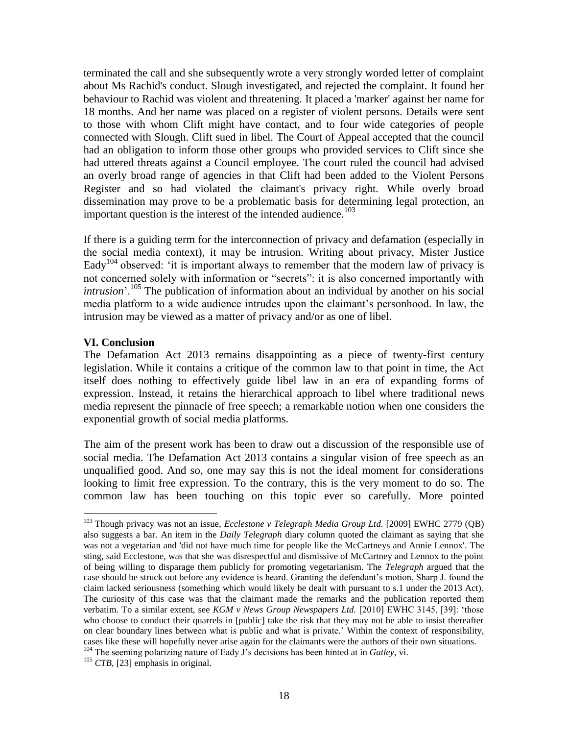terminated the call and she subsequently wrote a very strongly worded letter of complaint about Ms Rachid's conduct. Slough investigated, and rejected the complaint. It found her behaviour to Rachid was violent and threatening. It placed a 'marker' against her name for 18 months. And her name was placed on a register of violent persons. Details were sent to those with whom Clift might have contact, and to four wide categories of people connected with Slough. Clift sued in libel. The Court of Appeal accepted that the council had an obligation to inform those other groups who provided services to Clift since she had uttered threats against a Council employee. The court ruled the council had advised an overly broad range of agencies in that Clift had been added to the Violent Persons Register and so had violated the claimant's privacy right. While overly broad dissemination may prove to be a problematic basis for determining legal protection, an important question is the interest of the intended audience.<sup>103</sup>

If there is a guiding term for the interconnection of privacy and defamation (especially in the social media context), it may be intrusion. Writing about privacy, Mister Justice Eady<sup>104</sup> observed: 'it is important always to remember that the modern law of privacy is not concerned solely with information or "secrets": it is also concerned importantly with *intrusion*'.<sup>105</sup> The publication of information about an individual by another on his social media platform to a wide audience intrudes upon the claimant's personhood. In law, the intrusion may be viewed as a matter of privacy and/or as one of libel.

## **VI. Conclusion**

 $\overline{a}$ 

The Defamation Act 2013 remains disappointing as a piece of twenty-first century legislation. While it contains a critique of the common law to that point in time, the Act itself does nothing to effectively guide libel law in an era of expanding forms of expression. Instead, it retains the hierarchical approach to libel where traditional news media represent the pinnacle of free speech; a remarkable notion when one considers the exponential growth of social media platforms.

The aim of the present work has been to draw out a discussion of the responsible use of social media. The Defamation Act 2013 contains a singular vision of free speech as an unqualified good. And so, one may say this is not the ideal moment for considerations looking to limit free expression. To the contrary, this is the very moment to do so. The common law has been touching on this topic ever so carefully. More pointed

<sup>103</sup> Though privacy was not an issue, *Ecclestone v Telegraph Media Group Ltd.* [2009] EWHC 2779 (QB) also suggests a bar. An item in the *Daily Telegraph* diary column quoted the claimant as saying that she was not a vegetarian and 'did not have much time for people like the McCartneys and Annie Lennox'. The sting, said Ecclestone, was that she was disrespectful and dismissive of McCartney and Lennox to the point of being willing to disparage them publicly for promoting vegetarianism. The *Telegraph* argued that the case should be struck out before any evidence is heard. Granting the defendant's motion, Sharp J. found the claim lacked seriousness (something which would likely be dealt with pursuant to s.1 under the 2013 Act). The curiosity of this case was that the claimant made the remarks and the publication reported them verbatim. To a similar extent, see *KGM v News Group Newspapers Ltd.* [2010] EWHC 3145, [39]: 'those who choose to conduct their quarrels in [public] take the risk that they may not be able to insist thereafter on clear boundary lines between what is public and what is private.' Within the context of responsibility, cases like these will hopefully never arise again for the claimants were the authors of their own situations. <sup>104</sup> The seeming polarizing nature of Eady J's decisions has been hinted at in *Gatley*, vi.

<sup>&</sup>lt;sup>105</sup> *CTB*, [23] emphasis in original.